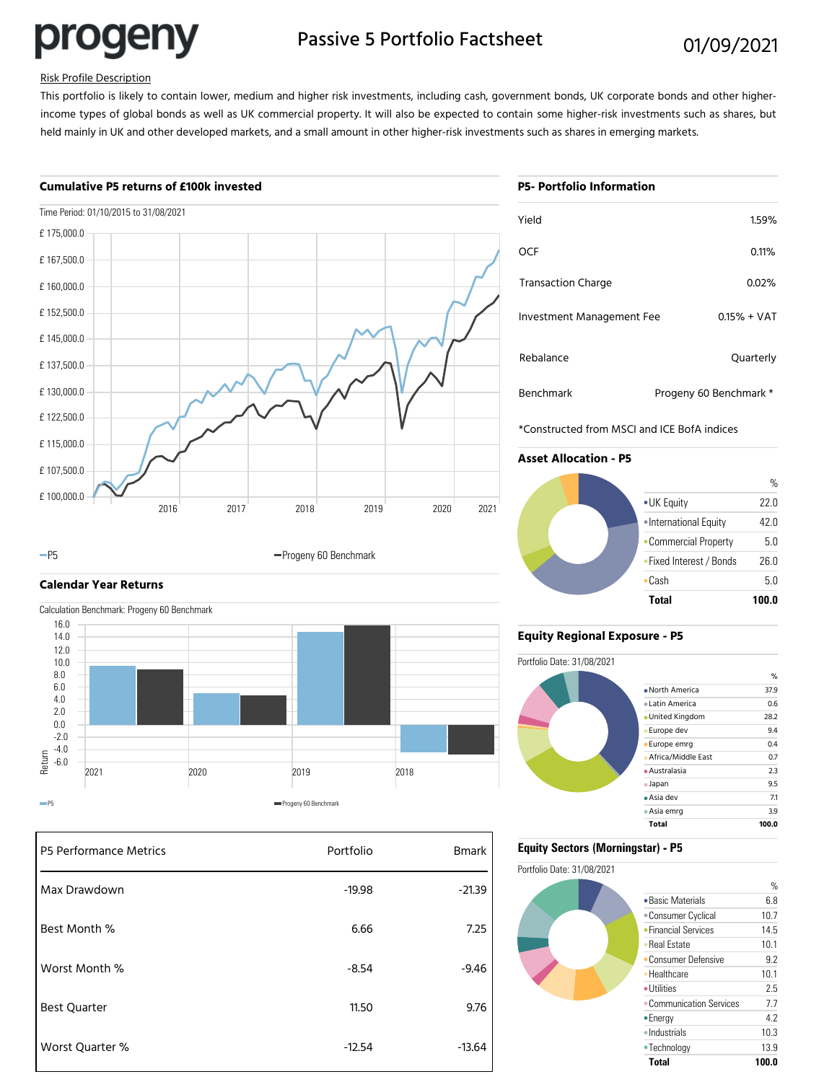progeny

# Passive 5 Portfolio Factsheet 01/09/2021

### Risk Profile Description

This portfolio is likely to contain lower, medium and higher risk investments, including cash, government bonds, UK corporate bonds and other higherincome types of global bonds as well as UK commercial property. It will also be expected to contain some higher-risk investments such as shares, but held mainly in UK and other developed markets, and a small amount in other higher-risk investments such as shares in emerging markets.

#### **Cumulative P5 returns of £100k invested**



#### -P5 **Progeny 60 Benchmark**

# **Calendar Year Returns**

Calculation Benchmark: Progeny 60 Benchmark



| P5 Performance Metrics | Portfolio | <b>Bmark</b> |
|------------------------|-----------|--------------|
| Max Drawdown           | $-19.98$  | $-21.39$     |
| Best Month %           | 6.66      | 7.25         |
| Worst Month %          | $-8.54$   | $-9.46$      |
| <b>Best Quarter</b>    | 11.50     | 9.76         |
| Worst Quarter %        | $-12.54$  | $-13.64$     |

# **P5- Portfolio Information**

| Yield                     | 1.59%                  |
|---------------------------|------------------------|
| OCF                       | 0.11%                  |
| <b>Transaction Charge</b> | 0.02%                  |
| Investment Management Fee | $0.15% + VAT$          |
| Rebalance                 | Quarterly              |
| Benchmark                 | Progeny 60 Benchmark * |

\*Constructed from MSCI and ICE BofA indices

# **Asset Allocation - P5**



### **Equity Regional Exposure - P5**



## **Equity Sectors (Morningstar) - P5**